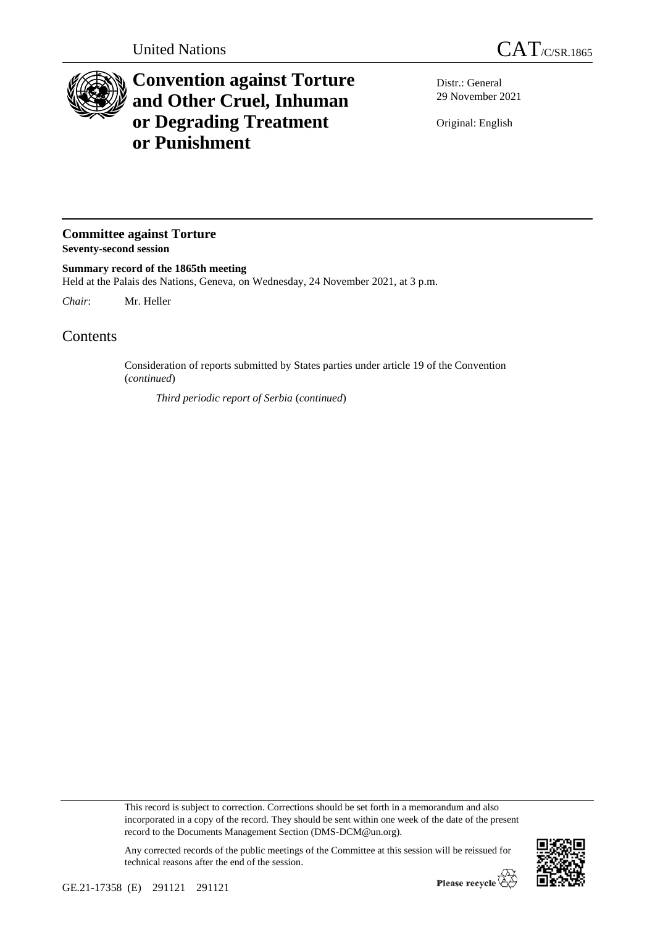

## **Convention against Torture and Other Cruel, Inhuman or Degrading Treatment or Punishment**

Distr.: General 29 November 2021

Original: English

**Committee against Torture Seventy-second session**

**Summary record of the 1865th meeting** Held at the Palais des Nations, Geneva, on Wednesday, 24 November 2021, at 3 p.m.

*Chair*: Mr. Heller

Contents

Consideration of reports submitted by States parties under article 19 of the Convention (*continued*)

*Third periodic report of Serbia* (*continued*)

This record is subject to correction. Corrections should be set forth in a memorandum and also incorporated in a copy of the record. They should be sent within one week of the date of the present record to the Documents Management Section (DMS-DCM@un.org).

Any corrected records of the public meetings of the Committee at this session will be reissued for technical reasons after the end of the session.

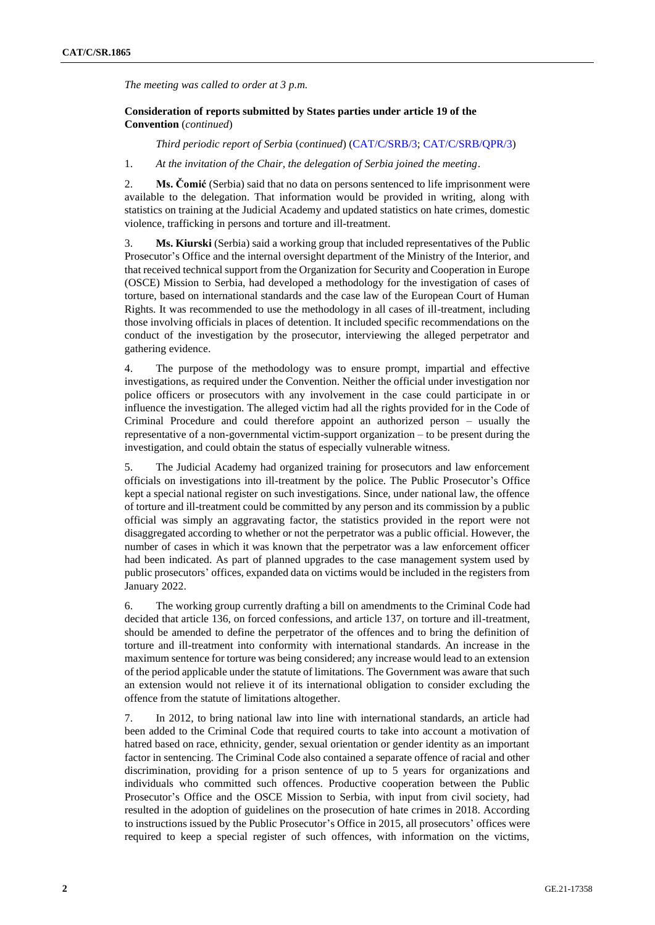*The meeting was called to order at 3 p.m.*

## **Consideration of reports submitted by States parties under article 19 of the Convention** (*continued*)

*Third periodic report of Serbia* (*continued*) [\(CAT/C/SRB/3;](http://undocs.org/en/CAT/C/SRB/3) [CAT/C/SRB/QPR/3\)](http://undocs.org/en/CAT/C/SRB/QPR/3)

1. *At the invitation of the Chair, the delegation of Serbia joined the meeting*.

2. **Ms. Čomić** (Serbia) said that no data on persons sentenced to life imprisonment were available to the delegation. That information would be provided in writing, along with statistics on training at the Judicial Academy and updated statistics on hate crimes, domestic violence, trafficking in persons and torture and ill-treatment.

3. **Ms. Kiurski** (Serbia) said a working group that included representatives of the Public Prosecutor's Office and the internal oversight department of the Ministry of the Interior, and that received technical support from the Organization for Security and Cooperation in Europe (OSCE) Mission to Serbia, had developed a methodology for the investigation of cases of torture, based on international standards and the case law of the European Court of Human Rights. It was recommended to use the methodology in all cases of ill-treatment, including those involving officials in places of detention. It included specific recommendations on the conduct of the investigation by the prosecutor, interviewing the alleged perpetrator and gathering evidence.

4. The purpose of the methodology was to ensure prompt, impartial and effective investigations, as required under the Convention. Neither the official under investigation nor police officers or prosecutors with any involvement in the case could participate in or influence the investigation. The alleged victim had all the rights provided for in the Code of Criminal Procedure and could therefore appoint an authorized person – usually the representative of a non-governmental victim-support organization – to be present during the investigation, and could obtain the status of especially vulnerable witness.

5. The Judicial Academy had organized training for prosecutors and law enforcement officials on investigations into ill-treatment by the police. The Public Prosecutor's Office kept a special national register on such investigations. Since, under national law, the offence of torture and ill-treatment could be committed by any person and its commission by a public official was simply an aggravating factor, the statistics provided in the report were not disaggregated according to whether or not the perpetrator was a public official. However, the number of cases in which it was known that the perpetrator was a law enforcement officer had been indicated. As part of planned upgrades to the case management system used by public prosecutors' offices, expanded data on victims would be included in the registers from January 2022.

6. The working group currently drafting a bill on amendments to the Criminal Code had decided that article 136, on forced confessions, and article 137, on torture and ill-treatment, should be amended to define the perpetrator of the offences and to bring the definition of torture and ill-treatment into conformity with international standards. An increase in the maximum sentence for torture was being considered; any increase would lead to an extension of the period applicable under the statute of limitations. The Government was aware that such an extension would not relieve it of its international obligation to consider excluding the offence from the statute of limitations altogether.

7. In 2012, to bring national law into line with international standards, an article had been added to the Criminal Code that required courts to take into account a motivation of hatred based on race, ethnicity, gender, sexual orientation or gender identity as an important factor in sentencing. The Criminal Code also contained a separate offence of racial and other discrimination, providing for a prison sentence of up to 5 years for organizations and individuals who committed such offences. Productive cooperation between the Public Prosecutor's Office and the OSCE Mission to Serbia, with input from civil society, had resulted in the adoption of guidelines on the prosecution of hate crimes in 2018. According to instructions issued by the Public Prosecutor's Office in 2015, all prosecutors' offices were required to keep a special register of such offences, with information on the victims,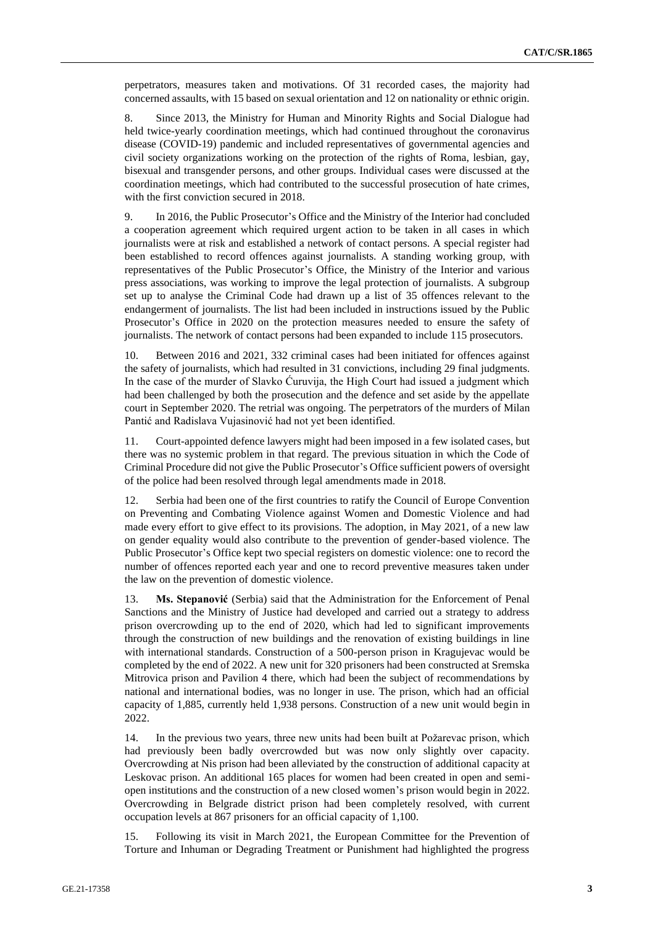perpetrators, measures taken and motivations. Of 31 recorded cases, the majority had concerned assaults, with 15 based on sexual orientation and 12 on nationality or ethnic origin.

8. Since 2013, the Ministry for Human and Minority Rights and Social Dialogue had held twice-yearly coordination meetings, which had continued throughout the coronavirus disease (COVID-19) pandemic and included representatives of governmental agencies and civil society organizations working on the protection of the rights of Roma, lesbian, gay, bisexual and transgender persons, and other groups. Individual cases were discussed at the coordination meetings, which had contributed to the successful prosecution of hate crimes, with the first conviction secured in 2018.

9. In 2016, the Public Prosecutor's Office and the Ministry of the Interior had concluded a cooperation agreement which required urgent action to be taken in all cases in which journalists were at risk and established a network of contact persons. A special register had been established to record offences against journalists. A standing working group, with representatives of the Public Prosecutor's Office, the Ministry of the Interior and various press associations, was working to improve the legal protection of journalists. A subgroup set up to analyse the Criminal Code had drawn up a list of 35 offences relevant to the endangerment of journalists. The list had been included in instructions issued by the Public Prosecutor's Office in 2020 on the protection measures needed to ensure the safety of journalists. The network of contact persons had been expanded to include 115 prosecutors.

10. Between 2016 and 2021, 332 criminal cases had been initiated for offences against the safety of journalists, which had resulted in 31 convictions, including 29 final judgments. In the case of the murder of Slavko Ćuruvija, the High Court had issued a judgment which had been challenged by both the prosecution and the defence and set aside by the appellate court in September 2020. The retrial was ongoing. The perpetrators of the murders of Milan Pantić and Radislava Vujasinović had not yet been identified.

11. Court-appointed defence lawyers might had been imposed in a few isolated cases, but there was no systemic problem in that regard. The previous situation in which the Code of Criminal Procedure did not give the Public Prosecutor's Office sufficient powers of oversight of the police had been resolved through legal amendments made in 2018.

12. Serbia had been one of the first countries to ratify the Council of Europe Convention on Preventing and Combating Violence against Women and Domestic Violence and had made every effort to give effect to its provisions. The adoption, in May 2021, of a new law on gender equality would also contribute to the prevention of gender-based violence. The Public Prosecutor's Office kept two special registers on domestic violence: one to record the number of offences reported each year and one to record preventive measures taken under the law on the prevention of domestic violence.

13. **Ms. Stepanović** (Serbia) said that the Administration for the Enforcement of Penal Sanctions and the Ministry of Justice had developed and carried out a strategy to address prison overcrowding up to the end of 2020, which had led to significant improvements through the construction of new buildings and the renovation of existing buildings in line with international standards. Construction of a 500-person prison in Kragujevac would be completed by the end of 2022. A new unit for 320 prisoners had been constructed at Sremska Mitrovica prison and Pavilion 4 there, which had been the subject of recommendations by national and international bodies, was no longer in use. The prison, which had an official capacity of 1,885, currently held 1,938 persons. Construction of a new unit would begin in 2022.

14. In the previous two years, three new units had been built at Požarevac prison, which had previously been badly overcrowded but was now only slightly over capacity. Overcrowding at Nis prison had been alleviated by the construction of additional capacity at Leskovac prison. An additional 165 places for women had been created in open and semiopen institutions and the construction of a new closed women's prison would begin in 2022. Overcrowding in Belgrade district prison had been completely resolved, with current occupation levels at 867 prisoners for an official capacity of 1,100.

15. Following its visit in March 2021, the European Committee for the Prevention of Torture and Inhuman or Degrading Treatment or Punishment had highlighted the progress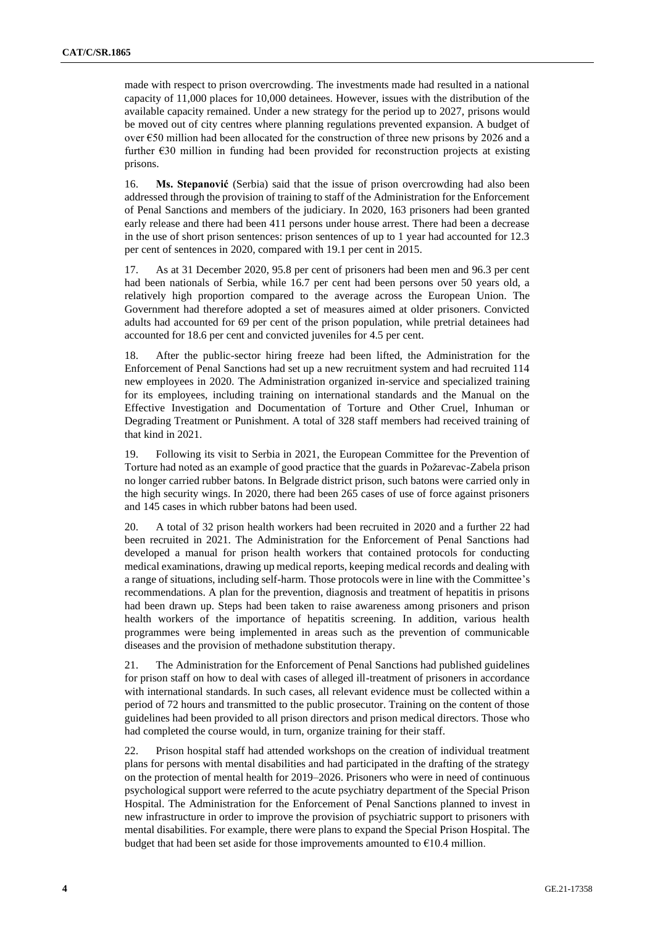made with respect to prison overcrowding. The investments made had resulted in a national capacity of 11,000 places for 10,000 detainees. However, issues with the distribution of the available capacity remained. Under a new strategy for the period up to 2027, prisons would be moved out of city centres where planning regulations prevented expansion. A budget of over €50 million had been allocated for the construction of three new prisons by 2026 and a further  $E30$  million in funding had been provided for reconstruction projects at existing prisons.

16. **Ms. Stepanović** (Serbia) said that the issue of prison overcrowding had also been addressed through the provision of training to staff of the Administration for the Enforcement of Penal Sanctions and members of the judiciary. In 2020, 163 prisoners had been granted early release and there had been 411 persons under house arrest. There had been a decrease in the use of short prison sentences: prison sentences of up to 1 year had accounted for 12.3 per cent of sentences in 2020, compared with 19.1 per cent in 2015.

17. As at 31 December 2020, 95.8 per cent of prisoners had been men and 96.3 per cent had been nationals of Serbia, while 16.7 per cent had been persons over 50 years old, a relatively high proportion compared to the average across the European Union. The Government had therefore adopted a set of measures aimed at older prisoners. Convicted adults had accounted for 69 per cent of the prison population, while pretrial detainees had accounted for 18.6 per cent and convicted juveniles for 4.5 per cent.

18. After the public-sector hiring freeze had been lifted, the Administration for the Enforcement of Penal Sanctions had set up a new recruitment system and had recruited 114 new employees in 2020. The Administration organized in-service and specialized training for its employees, including training on international standards and the Manual on the Effective Investigation and Documentation of Torture and Other Cruel, Inhuman or Degrading Treatment or Punishment. A total of 328 staff members had received training of that kind in 2021.

19. Following its visit to Serbia in 2021, the European Committee for the Prevention of Torture had noted as an example of good practice that the guards in Požarevac-Zabela prison no longer carried rubber batons. In Belgrade district prison, such batons were carried only in the high security wings. In 2020, there had been 265 cases of use of force against prisoners and 145 cases in which rubber batons had been used.

20. A total of 32 prison health workers had been recruited in 2020 and a further 22 had been recruited in 2021. The Administration for the Enforcement of Penal Sanctions had developed a manual for prison health workers that contained protocols for conducting medical examinations, drawing up medical reports, keeping medical records and dealing with a range of situations, including self-harm. Those protocols were in line with the Committee's recommendations. A plan for the prevention, diagnosis and treatment of hepatitis in prisons had been drawn up. Steps had been taken to raise awareness among prisoners and prison health workers of the importance of hepatitis screening. In addition, various health programmes were being implemented in areas such as the prevention of communicable diseases and the provision of methadone substitution therapy.

21. The Administration for the Enforcement of Penal Sanctions had published guidelines for prison staff on how to deal with cases of alleged ill-treatment of prisoners in accordance with international standards. In such cases, all relevant evidence must be collected within a period of 72 hours and transmitted to the public prosecutor. Training on the content of those guidelines had been provided to all prison directors and prison medical directors. Those who had completed the course would, in turn, organize training for their staff.

22. Prison hospital staff had attended workshops on the creation of individual treatment plans for persons with mental disabilities and had participated in the drafting of the strategy on the protection of mental health for 2019–2026. Prisoners who were in need of continuous psychological support were referred to the acute psychiatry department of the Special Prison Hospital. The Administration for the Enforcement of Penal Sanctions planned to invest in new infrastructure in order to improve the provision of psychiatric support to prisoners with mental disabilities. For example, there were plans to expand the Special Prison Hospital. The budget that had been set aside for those improvements amounted to  $E10.4$  million.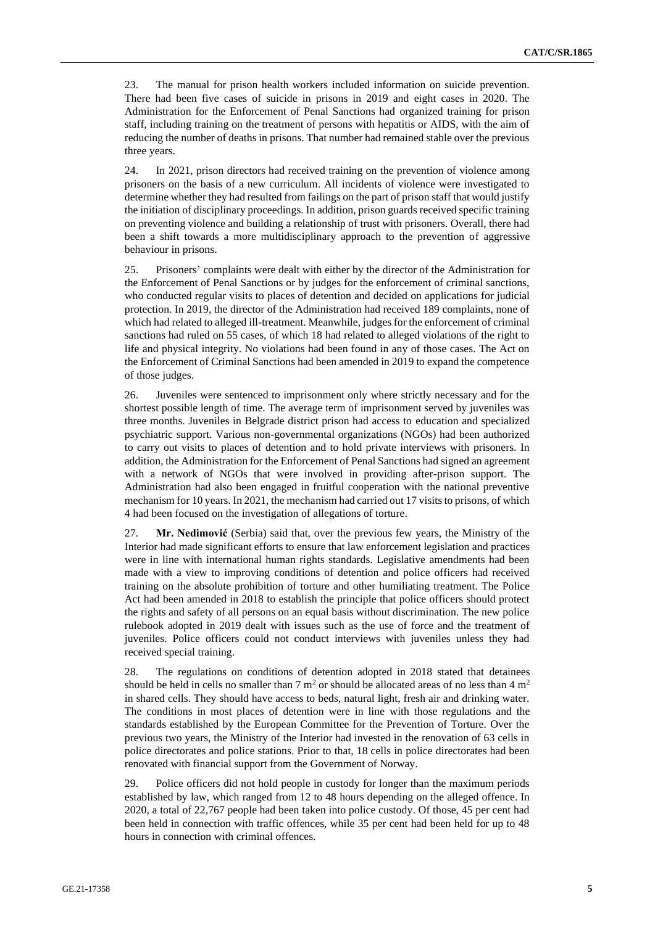23. The manual for prison health workers included information on suicide prevention. There had been five cases of suicide in prisons in 2019 and eight cases in 2020. The Administration for the Enforcement of Penal Sanctions had organized training for prison staff, including training on the treatment of persons with hepatitis or AIDS, with the aim of reducing the number of deaths in prisons. That number had remained stable over the previous three years.

24. In 2021, prison directors had received training on the prevention of violence among prisoners on the basis of a new curriculum. All incidents of violence were investigated to determine whether they had resulted from failings on the part of prison staff that would justify the initiation of disciplinary proceedings. In addition, prison guards received specific training on preventing violence and building a relationship of trust with prisoners. Overall, there had been a shift towards a more multidisciplinary approach to the prevention of aggressive behaviour in prisons.

25. Prisoners' complaints were dealt with either by the director of the Administration for the Enforcement of Penal Sanctions or by judges for the enforcement of criminal sanctions, who conducted regular visits to places of detention and decided on applications for judicial protection. In 2019, the director of the Administration had received 189 complaints, none of which had related to alleged ill-treatment. Meanwhile, judges for the enforcement of criminal sanctions had ruled on 55 cases, of which 18 had related to alleged violations of the right to life and physical integrity. No violations had been found in any of those cases. The Act on the Enforcement of Criminal Sanctions had been amended in 2019 to expand the competence of those judges.

26. Juveniles were sentenced to imprisonment only where strictly necessary and for the shortest possible length of time. The average term of imprisonment served by juveniles was three months. Juveniles in Belgrade district prison had access to education and specialized psychiatric support. Various non-governmental organizations (NGOs) had been authorized to carry out visits to places of detention and to hold private interviews with prisoners. In addition, the Administration for the Enforcement of Penal Sanctions had signed an agreement with a network of NGOs that were involved in providing after-prison support. The Administration had also been engaged in fruitful cooperation with the national preventive mechanism for 10 years. In 2021, the mechanism had carried out 17 visits to prisons, of which 4 had been focused on the investigation of allegations of torture.

27. **Mr. Nedimović** (Serbia) said that, over the previous few years, the Ministry of the Interior had made significant efforts to ensure that law enforcement legislation and practices were in line with international human rights standards. Legislative amendments had been made with a view to improving conditions of detention and police officers had received training on the absolute prohibition of torture and other humiliating treatment. The Police Act had been amended in 2018 to establish the principle that police officers should protect the rights and safety of all persons on an equal basis without discrimination. The new police rulebook adopted in 2019 dealt with issues such as the use of force and the treatment of juveniles. Police officers could not conduct interviews with juveniles unless they had received special training.

28. The regulations on conditions of detention adopted in 2018 stated that detainees should be held in cells no smaller than  $7 \text{ m}^2$  or should be allocated areas of no less than  $4 \text{ m}^2$ in shared cells. They should have access to beds, natural light, fresh air and drinking water. The conditions in most places of detention were in line with those regulations and the standards established by the European Committee for the Prevention of Torture. Over the previous two years, the Ministry of the Interior had invested in the renovation of 63 cells in police directorates and police stations. Prior to that, 18 cells in police directorates had been renovated with financial support from the Government of Norway.

29. Police officers did not hold people in custody for longer than the maximum periods established by law, which ranged from 12 to 48 hours depending on the alleged offence. In 2020, a total of 22,767 people had been taken into police custody. Of those, 45 per cent had been held in connection with traffic offences, while 35 per cent had been held for up to 48 hours in connection with criminal offences.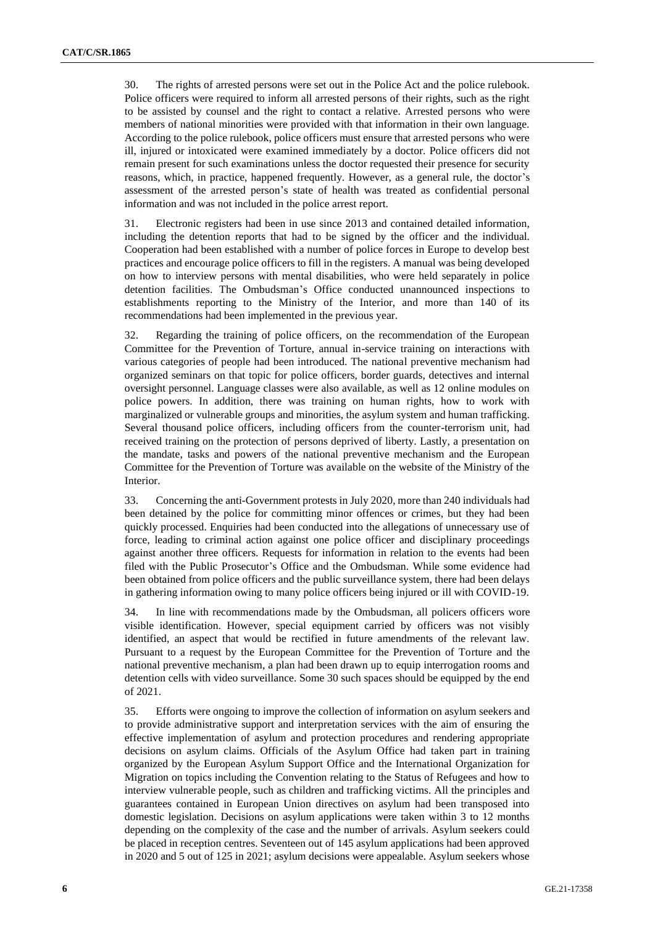30. The rights of arrested persons were set out in the Police Act and the police rulebook. Police officers were required to inform all arrested persons of their rights, such as the right to be assisted by counsel and the right to contact a relative. Arrested persons who were members of national minorities were provided with that information in their own language. According to the police rulebook, police officers must ensure that arrested persons who were ill, injured or intoxicated were examined immediately by a doctor. Police officers did not remain present for such examinations unless the doctor requested their presence for security reasons, which, in practice, happened frequently. However, as a general rule, the doctor's assessment of the arrested person's state of health was treated as confidential personal information and was not included in the police arrest report.

31. Electronic registers had been in use since 2013 and contained detailed information, including the detention reports that had to be signed by the officer and the individual. Cooperation had been established with a number of police forces in Europe to develop best practices and encourage police officers to fill in the registers. A manual was being developed on how to interview persons with mental disabilities, who were held separately in police detention facilities. The Ombudsman's Office conducted unannounced inspections to establishments reporting to the Ministry of the Interior, and more than 140 of its recommendations had been implemented in the previous year.

32. Regarding the training of police officers, on the recommendation of the European Committee for the Prevention of Torture, annual in-service training on interactions with various categories of people had been introduced. The national preventive mechanism had organized seminars on that topic for police officers, border guards, detectives and internal oversight personnel. Language classes were also available, as well as 12 online modules on police powers. In addition, there was training on human rights, how to work with marginalized or vulnerable groups and minorities, the asylum system and human trafficking. Several thousand police officers, including officers from the counter-terrorism unit, had received training on the protection of persons deprived of liberty. Lastly, a presentation on the mandate, tasks and powers of the national preventive mechanism and the European Committee for the Prevention of Torture was available on the website of the Ministry of the Interior.

33. Concerning the anti-Government protests in July 2020, more than 240 individuals had been detained by the police for committing minor offences or crimes, but they had been quickly processed. Enquiries had been conducted into the allegations of unnecessary use of force, leading to criminal action against one police officer and disciplinary proceedings against another three officers. Requests for information in relation to the events had been filed with the Public Prosecutor's Office and the Ombudsman. While some evidence had been obtained from police officers and the public surveillance system, there had been delays in gathering information owing to many police officers being injured or ill with COVID-19.

34. In line with recommendations made by the Ombudsman, all policers officers wore visible identification. However, special equipment carried by officers was not visibly identified, an aspect that would be rectified in future amendments of the relevant law. Pursuant to a request by the European Committee for the Prevention of Torture and the national preventive mechanism, a plan had been drawn up to equip interrogation rooms and detention cells with video surveillance. Some 30 such spaces should be equipped by the end of 2021.

35. Efforts were ongoing to improve the collection of information on asylum seekers and to provide administrative support and interpretation services with the aim of ensuring the effective implementation of asylum and protection procedures and rendering appropriate decisions on asylum claims. Officials of the Asylum Office had taken part in training organized by the European Asylum Support Office and the International Organization for Migration on topics including the Convention relating to the Status of Refugees and how to interview vulnerable people, such as children and trafficking victims. All the principles and guarantees contained in European Union directives on asylum had been transposed into domestic legislation. Decisions on asylum applications were taken within 3 to 12 months depending on the complexity of the case and the number of arrivals. Asylum seekers could be placed in reception centres. Seventeen out of 145 asylum applications had been approved in 2020 and 5 out of 125 in 2021; asylum decisions were appealable. Asylum seekers whose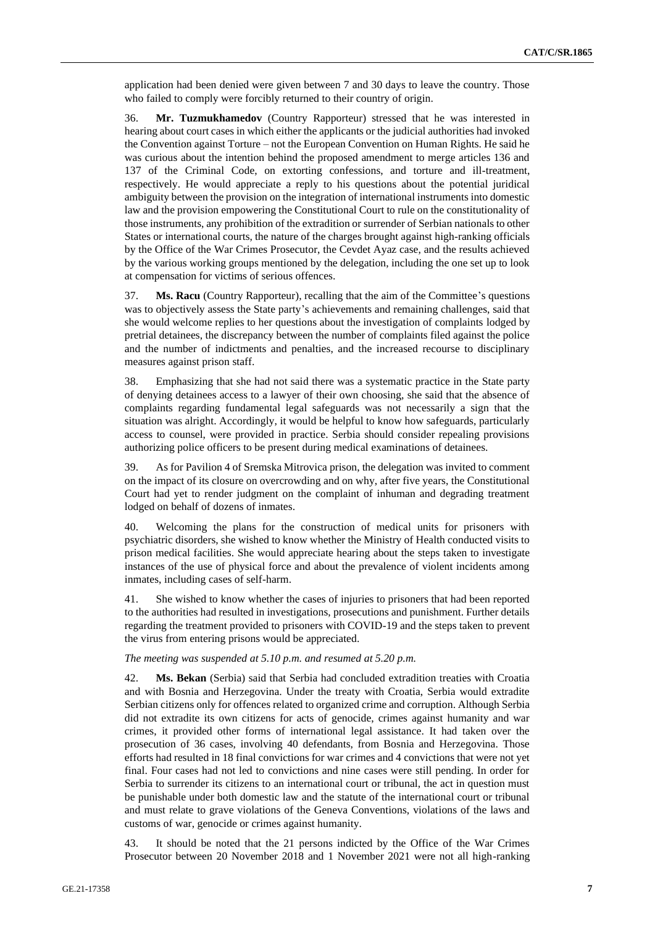application had been denied were given between 7 and 30 days to leave the country. Those who failed to comply were forcibly returned to their country of origin.

36. **Mr. Tuzmukhamedov** (Country Rapporteur) stressed that he was interested in hearing about court cases in which either the applicants or the judicial authorities had invoked the Convention against Torture – not the European Convention on Human Rights. He said he was curious about the intention behind the proposed amendment to merge articles 136 and 137 of the Criminal Code, on extorting confessions, and torture and ill-treatment, respectively. He would appreciate a reply to his questions about the potential juridical ambiguity between the provision on the integration of international instruments into domestic law and the provision empowering the Constitutional Court to rule on the constitutionality of those instruments, any prohibition of the extradition or surrender of Serbian nationals to other States or international courts, the nature of the charges brought against high-ranking officials by the Office of the War Crimes Prosecutor, the Cevdet Ayaz case, and the results achieved by the various working groups mentioned by the delegation, including the one set up to look at compensation for victims of serious offences.

37. **Ms. Racu** (Country Rapporteur), recalling that the aim of the Committee's questions was to objectively assess the State party's achievements and remaining challenges, said that she would welcome replies to her questions about the investigation of complaints lodged by pretrial detainees, the discrepancy between the number of complaints filed against the police and the number of indictments and penalties, and the increased recourse to disciplinary measures against prison staff.

38. Emphasizing that she had not said there was a systematic practice in the State party of denying detainees access to a lawyer of their own choosing, she said that the absence of complaints regarding fundamental legal safeguards was not necessarily a sign that the situation was alright. Accordingly, it would be helpful to know how safeguards, particularly access to counsel, were provided in practice. Serbia should consider repealing provisions authorizing police officers to be present during medical examinations of detainees.

39. As for Pavilion 4 of Sremska Mitrovica prison, the delegation was invited to comment on the impact of its closure on overcrowding and on why, after five years, the Constitutional Court had yet to render judgment on the complaint of inhuman and degrading treatment lodged on behalf of dozens of inmates.

40. Welcoming the plans for the construction of medical units for prisoners with psychiatric disorders, she wished to know whether the Ministry of Health conducted visits to prison medical facilities. She would appreciate hearing about the steps taken to investigate instances of the use of physical force and about the prevalence of violent incidents among inmates, including cases of self-harm.

41. She wished to know whether the cases of injuries to prisoners that had been reported to the authorities had resulted in investigations, prosecutions and punishment. Further details regarding the treatment provided to prisoners with COVID-19 and the steps taken to prevent the virus from entering prisons would be appreciated.

## *The meeting was suspended at 5.10 p.m. and resumed at 5.20 p.m.*

42. **Ms. Bekan** (Serbia) said that Serbia had concluded extradition treaties with Croatia and with Bosnia and Herzegovina. Under the treaty with Croatia, Serbia would extradite Serbian citizens only for offences related to organized crime and corruption. Although Serbia did not extradite its own citizens for acts of genocide, crimes against humanity and war crimes, it provided other forms of international legal assistance. It had taken over the prosecution of 36 cases, involving 40 defendants, from Bosnia and Herzegovina. Those efforts had resulted in 18 final convictions for war crimes and 4 convictions that were not yet final. Four cases had not led to convictions and nine cases were still pending. In order for Serbia to surrender its citizens to an international court or tribunal, the act in question must be punishable under both domestic law and the statute of the international court or tribunal and must relate to grave violations of the Geneva Conventions, violations of the laws and customs of war, genocide or crimes against humanity.

43. It should be noted that the 21 persons indicted by the Office of the War Crimes Prosecutor between 20 November 2018 and 1 November 2021 were not all high-ranking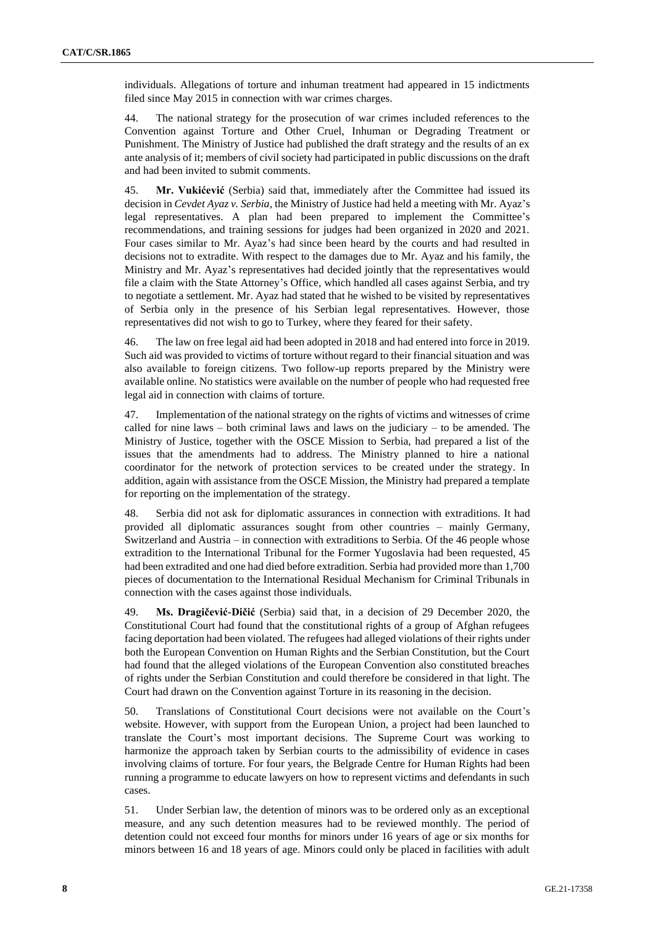individuals. Allegations of torture and inhuman treatment had appeared in 15 indictments filed since May 2015 in connection with war crimes charges.

44. The national strategy for the prosecution of war crimes included references to the Convention against Torture and Other Cruel, Inhuman or Degrading Treatment or Punishment. The Ministry of Justice had published the draft strategy and the results of an ex ante analysis of it; members of civil society had participated in public discussions on the draft and had been invited to submit comments.

45. **Mr. Vukićević** (Serbia) said that, immediately after the Committee had issued its decision in *Cevdet Ayaz v. Serbia*, the Ministry of Justice had held a meeting with Mr. Ayaz's legal representatives. A plan had been prepared to implement the Committee's recommendations, and training sessions for judges had been organized in 2020 and 2021. Four cases similar to Mr. Ayaz's had since been heard by the courts and had resulted in decisions not to extradite. With respect to the damages due to Mr. Ayaz and his family, the Ministry and Mr. Ayaz's representatives had decided jointly that the representatives would file a claim with the State Attorney's Office, which handled all cases against Serbia, and try to negotiate a settlement. Mr. Ayaz had stated that he wished to be visited by representatives of Serbia only in the presence of his Serbian legal representatives. However, those representatives did not wish to go to Turkey, where they feared for their safety.

46. The law on free legal aid had been adopted in 2018 and had entered into force in 2019. Such aid was provided to victims of torture without regard to their financial situation and was also available to foreign citizens. Two follow-up reports prepared by the Ministry were available online. No statistics were available on the number of people who had requested free legal aid in connection with claims of torture.

47. Implementation of the national strategy on the rights of victims and witnesses of crime called for nine laws – both criminal laws and laws on the judiciary – to be amended. The Ministry of Justice, together with the OSCE Mission to Serbia, had prepared a list of the issues that the amendments had to address. The Ministry planned to hire a national coordinator for the network of protection services to be created under the strategy. In addition, again with assistance from the OSCE Mission, the Ministry had prepared a template for reporting on the implementation of the strategy.

48. Serbia did not ask for diplomatic assurances in connection with extraditions. It had provided all diplomatic assurances sought from other countries – mainly Germany, Switzerland and Austria – in connection with extraditions to Serbia. Of the 46 people whose extradition to the International Tribunal for the Former Yugoslavia had been requested, 45 had been extradited and one had died before extradition. Serbia had provided more than 1,700 pieces of documentation to the International Residual Mechanism for Criminal Tribunals in connection with the cases against those individuals.

49. **Ms. Dragičević-Dičić** (Serbia) said that, in a decision of 29 December 2020, the Constitutional Court had found that the constitutional rights of a group of Afghan refugees facing deportation had been violated. The refugees had alleged violations of their rights under both the European Convention on Human Rights and the Serbian Constitution, but the Court had found that the alleged violations of the European Convention also constituted breaches of rights under the Serbian Constitution and could therefore be considered in that light. The Court had drawn on the Convention against Torture in its reasoning in the decision.

50. Translations of Constitutional Court decisions were not available on the Court's website. However, with support from the European Union, a project had been launched to translate the Court's most important decisions. The Supreme Court was working to harmonize the approach taken by Serbian courts to the admissibility of evidence in cases involving claims of torture. For four years, the Belgrade Centre for Human Rights had been running a programme to educate lawyers on how to represent victims and defendants in such cases.

51. Under Serbian law, the detention of minors was to be ordered only as an exceptional measure, and any such detention measures had to be reviewed monthly. The period of detention could not exceed four months for minors under 16 years of age or six months for minors between 16 and 18 years of age. Minors could only be placed in facilities with adult